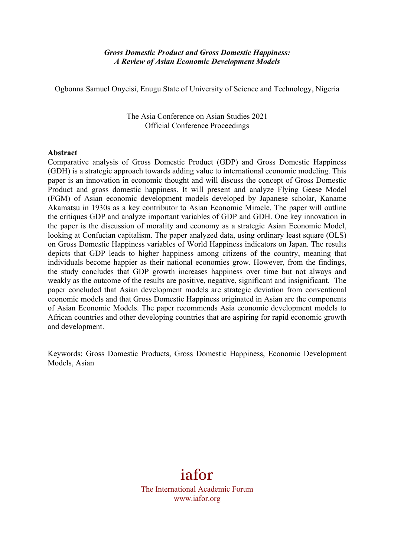# *Gross Domestic Product and Gross Domestic Happiness: A Review of Asian Economic Development Models*

Ogbonna Samuel Onyeisi, Enugu State of University of Science and Technology, Nigeria

The Asia Conference on Asian Studies 2021 Official Conference Proceedings

### **Abstract**

Comparative analysis of Gross Domestic Product (GDP) and Gross Domestic Happiness (GDH) is a strategic approach towards adding value to international economic modeling. This paper is an innovation in economic thought and will discuss the concept of Gross Domestic Product and gross domestic happiness. It will present and analyze Flying Geese Model (FGM) of Asian economic development models developed by Japanese scholar, Kaname Akamatsu in 1930s as a key contributor to Asian Economic Miracle. The paper will outline the critiques GDP and analyze important variables of GDP and GDH. One key innovation in the paper is the discussion of morality and economy as a strategic Asian Economic Model, looking at Confucian capitalism. The paper analyzed data, using ordinary least square (OLS) on Gross Domestic Happiness variables of World Happiness indicators on Japan. The results depicts that GDP leads to higher happiness among citizens of the country, meaning that individuals become happier as their national economies grow. However, from the findings, the study concludes that GDP growth increases happiness over time but not always and weakly as the outcome of the results are positive, negative, significant and insignificant. The paper concluded that Asian development models are strategic deviation from conventional economic models and that Gross Domestic Happiness originated in Asian are the components of Asian Economic Models. The paper recommends Asia economic development models to African countries and other developing countries that are aspiring for rapid economic growth and development.

Keywords: Gross Domestic Products, Gross Domestic Happiness, Economic Development Models, Asian

# iafor

The International Academic Forum www.iafor.org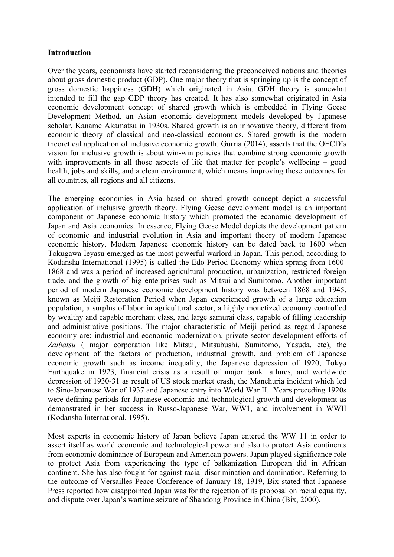# **Introduction**

Over the years, economists have started reconsidering the preconceived notions and theories about gross domestic product (GDP). One major theory that is springing up is the concept of gross domestic happiness (GDH) which originated in Asia. GDH theory is somewhat intended to fill the gap GDP theory has created. It has also somewhat originated in Asia economic development concept of shared growth which is embedded in Flying Geese Development Method, an Asian economic development models developed by Japanese scholar, Kaname Akamatsu in 1930s. Shared growth is an innovative theory, different from economic theory of classical and neo-classical economics. Shared growth is the modern theoretical application of inclusive economic growth. Gurría (2014), asserts that the OECD's vision for inclusive growth is about win-win policies that combine strong economic growth with improvements in all those aspects of life that matter for people's wellbeing – good health, jobs and skills, and a clean environment, which means improving these outcomes for all countries, all regions and all citizens.

The emerging economies in Asia based on shared growth concept depict a successful application of inclusive growth theory. Flying Geese development model is an important component of Japanese economic history which promoted the economic development of Japan and Asia economies. In essence, Flying Geese Model depicts the development pattern of economic and industrial evolution in Asia and important theory of modern Japanese economic history. Modern Japanese economic history can be dated back to 1600 when Tokugawa Ieyasu emerged as the most powerful warlord in Japan. This period, according to Kodansha International (1995) is called the Edo-Period Economy which sprang from 1600- 1868 and was a period of increased agricultural production, urbanization, restricted foreign trade, and the growth of big enterprises such as Mitsui and Sumitomo. Another important period of modern Japanese economic development history was between 1868 and 1945, known as Meiji Restoration Period when Japan experienced growth of a large education population, a surplus of labor in agricultural sector, a highly monetized economy controlled by wealthy and capable merchant class, and large samurai class, capable of filling leadership and administrative positions. The major characteristic of Meiji period as regard Japanese economy are: industrial and economic modernization, private sector development efforts of *Zaibatsu* ( major corporation like Mitsui, Mitsubushi, Sumitomo, Yasuda, etc), the development of the factors of production, industrial growth, and problem of Japanese economic growth such as income inequality, the Japanese depression of 1920, Tokyo Earthquake in 1923, financial crisis as a result of major bank failures, and worldwide depression of 1930-31 as result of US stock market crash, the Manchuria incident which led to Sino-Japanese War of 1937 and Japanese entry into World War II. Years preceding 1920s were defining periods for Japanese economic and technological growth and development as demonstrated in her success in Russo-Japanese War, WW1, and involvement in WWII (Kodansha International, 1995).

Most experts in economic history of Japan believe Japan entered the WW 11 in order to assert itself as world economic and technological power and also to protect Asia continents from economic dominance of European and American powers. Japan played significance role to protect Asia from experiencing the type of balkanization European did in African continent. She has also fought for against racial discrimination and domination. Referring to the outcome of Versailles Peace Conference of January 18, 1919, Bix stated that Japanese Press reported how disappointed Japan was for the rejection of its proposal on racial equality, and dispute over Japan's wartime seizure of Shandong Province in China (Bix, 2000).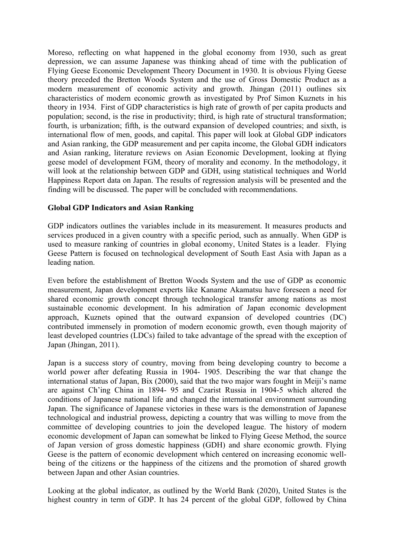Moreso, reflecting on what happened in the global economy from 1930, such as great depression, we can assume Japanese was thinking ahead of time with the publication of Flying Geese Economic Development Theory Document in 1930. It is obvious Flying Geese theory preceded the Bretton Woods System and the use of Gross Domestic Product as a modern measurement of economic activity and growth. Jhingan (2011) outlines six characteristics of modern economic growth as investigated by Prof Simon Kuznets in his theory in 1934. First of GDP characteristics is high rate of growth of per capita products and population; second, is the rise in productivity; third, is high rate of structural transformation; fourth, is urbanization; fifth, is the outward expansion of developed countries; and sixth, is international flow of men, goods, and capital. This paper will look at Global GDP indicators and Asian ranking, the GDP measurement and per capita income, the Global GDH indicators and Asian ranking, literature reviews on Asian Economic Development, looking at flying geese model of development FGM, theory of morality and economy. In the methodology, it will look at the relationship between GDP and GDH, using statistical techniques and World Happiness Report data on Japan. The results of regression analysis will be presented and the finding will be discussed. The paper will be concluded with recommendations.

# **Global GDP Indicators and Asian Ranking**

GDP indicators outlines the variables include in its measurement. It measures products and services produced in a given country with a specific period, such as annually. When GDP is used to measure ranking of countries in global economy, United States is a leader. Flying Geese Pattern is focused on technological development of South East Asia with Japan as a leading nation.

Even before the establishment of Bretton Woods System and the use of GDP as economic measurement, Japan development experts like Kaname Akamatsu have foreseen a need for shared economic growth concept through technological transfer among nations as most sustainable economic development. In his admiration of Japan economic development approach, Kuznets opined that the outward expansion of developed countries (DC) contributed immensely in promotion of modern economic growth, even though majority of least developed countries (LDCs) failed to take advantage of the spread with the exception of Japan (Jhingan, 2011).

Japan is a success story of country, moving from being developing country to become a world power after defeating Russia in 1904- 1905. Describing the war that change the international status of Japan, Bix (2000), said that the two major wars fought in Meiji's name are against Ch'ing China in 1894- 95 and Czarist Russia in 1904-5 which altered the conditions of Japanese national life and changed the international environment surrounding Japan. The significance of Japanese victories in these wars is the demonstration of Japanese technological and industrial prowess, depicting a country that was willing to move from the committee of developing countries to join the developed league. The history of modern economic development of Japan can somewhat be linked to Flying Geese Method, the source of Japan version of gross domestic happiness (GDH) and share economic growth. Flying Geese is the pattern of economic development which centered on increasing economic wellbeing of the citizens or the happiness of the citizens and the promotion of shared growth between Japan and other Asian countries.

Looking at the global indicator, as outlined by the World Bank (2020), United States is the highest country in term of GDP. It has 24 percent of the global GDP, followed by China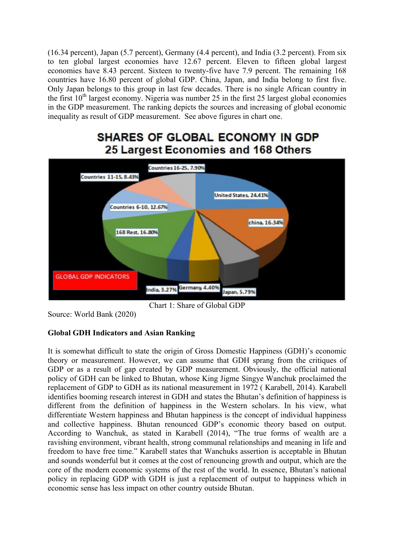(16.34 percent), Japan (5.7 percent), Germany (4.4 percent), and India (3.2 percent). From six to ten global largest economies have 12.67 percent. Eleven to fifteen global largest economies have 8.43 percent. Sixteen to twenty-five have 7.9 percent. The remaining 168 countries have 16.80 percent of global GDP. China, Japan, and India belong to first five. Only Japan belongs to this group in last few decades. There is no single African country in the first  $10<sup>th</sup>$  largest economy. Nigeria was number 25 in the first 25 largest global economies in the GDP measurement. The ranking depicts the sources and increasing of global economic inequality as result of GDP measurement. See above figures in chart one.

# **SHARES OF GLOBAL ECONOMY IN GDP** 25 Largest Economies and 168 Others



Chart 1: Share of Global GDP

Source: World Bank (2020)

# **Global GDH Indicators and Asian Ranking**

It is somewhat difficult to state the origin of Gross Domestic Happiness (GDH)'s economic theory or measurement. However, we can assume that GDH sprang from the critiques of GDP or as a result of gap created by GDP measurement. Obviously, the official national policy of GDH can be linked to Bhutan, whose King Jigme Singye Wanchuk proclaimed the replacement of GDP to GDH as its national measurement in 1972 ( Karabell, 2014). Karabell identifies booming research interest in GDH and states the Bhutan's definition of happiness is different from the definition of happiness in the Western scholars. In his view, what differentiate Western happiness and Bhutan happiness is the concept of individual happiness and collective happiness. Bhutan renounced GDP's economic theory based on output. According to Wanchuk, as stated in Karabell (2014), "The true forms of wealth are a ravishing environment, vibrant health, strong communal relationships and meaning in life and freedom to have free time." Karabell states that Wanchuks assertion is acceptable in Bhutan and sounds wonderful but it comes at the cost of renouncing growth and output, which are the core of the modern economic systems of the rest of the world. In essence, Bhutan's national policy in replacing GDP with GDH is just a replacement of output to happiness which in economic sense has less impact on other country outside Bhutan.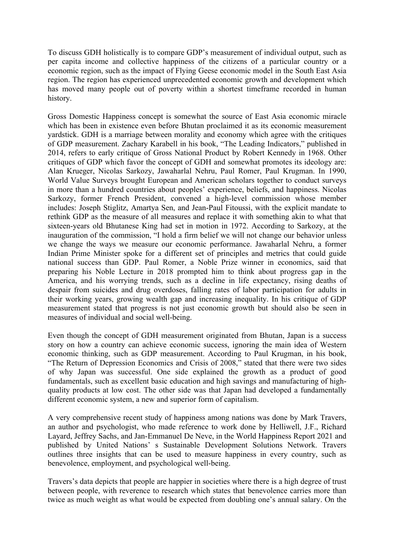To discuss GDH holistically is to compare GDP's measurement of individual output, such as per capita income and collective happiness of the citizens of a particular country or a economic region, such as the impact of Flying Geese economic model in the South East Asia region. The region has experienced unprecedented economic growth and development which has moved many people out of poverty within a shortest timeframe recorded in human history.

Gross Domestic Happiness concept is somewhat the source of East Asia economic miracle which has been in existence even before Bhutan proclaimed it as its economic measurement yardstick. GDH is a marriage between morality and economy which agree with the critiques of GDP measurement. Zachary Karabell in his book, "The Leading Indicators," published in 2014, refers to early critique of Gross National Product by Robert Kennedy in 1968. Other critiques of GDP which favor the concept of GDH and somewhat promotes its ideology are: Alan Krueger, Nicolas Sarkozy, Jawaharlal Nehru, Paul Romer, Paul Krugman. In 1990, World Value Surveys brought European and American scholars together to conduct surveys in more than a hundred countries about peoples' experience, beliefs, and happiness. Nicolas Sarkozy, former French President, convened a high-level commission whose member includes: Joseph Stiglitz, Amartya Sen, and Jean-Paul Fitoussi, with the explicit mandate to rethink GDP as the measure of all measures and replace it with something akin to what that sixteen-years old Bhutanese King had set in motion in 1972. According to Sarkozy, at the inauguration of the commission, "I hold a firm belief we will not change our behavior unless we change the ways we measure our economic performance. Jawaharlal Nehru, a former Indian Prime Minister spoke for a different set of principles and metrics that could guide national success than GDP. Paul Romer, a Noble Prize winner in economics, said that preparing his Noble Lecture in 2018 prompted him to think about progress gap in the America, and his worrying trends, such as a decline in life expectancy, rising deaths of despair from suicides and drug overdoses, falling rates of labor participation for adults in their working years, growing wealth gap and increasing inequality. In his critique of GDP measurement stated that progress is not just economic growth but should also be seen in measures of individual and social well-being.

Even though the concept of GDH measurement originated from Bhutan, Japan is a success story on how a country can achieve economic success, ignoring the main idea of Western economic thinking, such as GDP measurement. According to Paul Krugman, in his book, "The Return of Depression Economics and Crisis of 2008," stated that there were two sides of why Japan was successful. One side explained the growth as a product of good fundamentals, such as excellent basic education and high savings and manufacturing of highquality products at low cost. The other side was that Japan had developed a fundamentally different economic system, a new and superior form of capitalism.

A very comprehensive recent study of happiness among nations was done by Mark Travers, an author and psychologist, who made reference to work done by Helliwell, J.F., Richard Layard, Jeffrey Sachs, and Jan-Emmanuel De Neve, in the World Happiness Report 2021 and published by United Nations' s Sustainable Development Solutions Network. Travers outlines three insights that can be used to measure happiness in every country, such as benevolence, employment, and psychological well-being.

Travers's data depicts that people are happier in societies where there is a high degree of trust between people, with reverence to research which states that benevolence carries more than twice as much weight as what would be expected from doubling one's annual salary. On the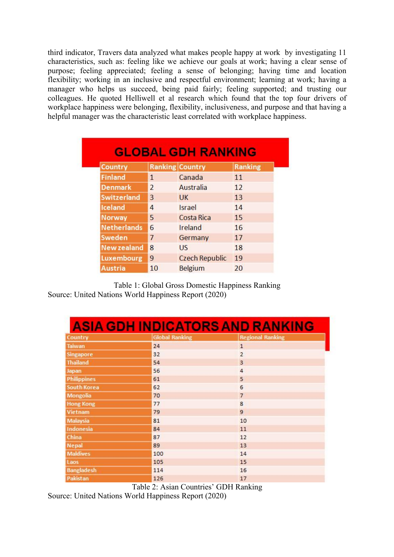third indicator, Travers data analyzed what makes people happy at work by investigating 11 characteristics, such as: feeling like we achieve our goals at work; having a clear sense of purpose; feeling appreciated; feeling a sense of belonging; having time and location flexibility; working in an inclusive and respectful environment; learning at work; having a manager who helps us succeed, being paid fairly; feeling supported; and trusting our colleagues. He quoted Helliwell et al research which found that the top four drivers of workplace happiness were belonging, flexibility, inclusiveness, and purpose and that having a helpful manager was the characteristic least correlated with workplace happiness.

| Country            |                | <b>Ranking Country</b> | <b>Ranking</b> |
|--------------------|----------------|------------------------|----------------|
| <b>Finland</b>     | 1              | Canada                 | 11             |
| <b>Denmark</b>     | $\overline{2}$ | Australia              | 12             |
| <b>Switzerland</b> | 3              | <b>UK</b>              | 13             |
| Iceland            | 4              | <b>Israel</b>          | 14             |
| Norway             | 5              | <b>Costa Rica</b>      | 15             |
| <b>Netherlands</b> | 6              | Ireland                | 16             |
| Sweden             | 7              | Germany                | 17             |
| <b>New zealand</b> | 8              | US.                    | 18             |
| Luxembourg         | 9              | <b>Czech Republic</b>  | 19             |
| <b>Austria</b>     | 10             | <b>Belgium</b>         | 20             |

Table 1: Global Gross Domestic Happiness Ranking Source: United Nations World Happiness Report (2020)

| <b>ASIA GDH INDICATORS AND RANKING</b> |                       |                         |  |  |  |  |
|----------------------------------------|-----------------------|-------------------------|--|--|--|--|
| Country                                | <b>Global Ranking</b> | <b>Regional Ranking</b> |  |  |  |  |
| <b>Taiwan</b>                          | 24                    | $\overline{1}$          |  |  |  |  |
| <b>Singapore</b>                       | 32                    | $\overline{2}$          |  |  |  |  |
| <b>Thailand</b>                        | 54                    | $\overline{3}$          |  |  |  |  |
| Japan                                  | 56                    | $\overline{4}$          |  |  |  |  |
| <b>Philippines</b>                     | 61                    | 5                       |  |  |  |  |
| South Korea                            | 62                    | 6                       |  |  |  |  |
| <b>Mongolia</b>                        | 70                    | $\overline{7}$          |  |  |  |  |
| <b>Hong Kong</b>                       | 77                    | 8                       |  |  |  |  |
| Vietnam                                | 79                    | 9                       |  |  |  |  |
| <b>Malaysia</b>                        | 81                    | 10                      |  |  |  |  |
| Indonesia                              | 84                    | 11                      |  |  |  |  |
| China                                  | 87                    | 12                      |  |  |  |  |
| <b>Nepal</b>                           | 89                    | 13                      |  |  |  |  |
| <b>Maldives</b>                        | 100                   | 14                      |  |  |  |  |
| Laos                                   | 105                   | 15                      |  |  |  |  |
| <b>Bangladesh</b>                      | 114                   | 16                      |  |  |  |  |
| Pakistan                               | 126                   | 17                      |  |  |  |  |

Table 2: Asian Countries' GDH Ranking Source: United Nations World Happiness Report (2020)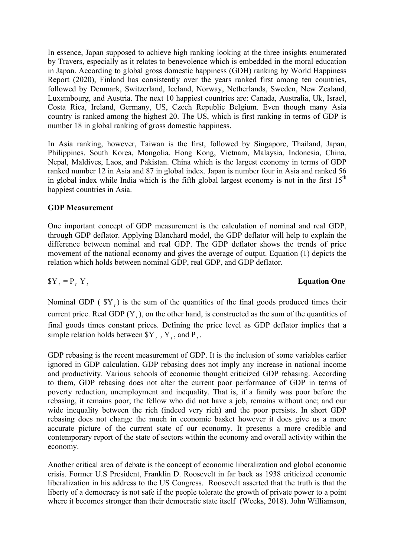In essence, Japan supposed to achieve high ranking looking at the three insights enumerated by Travers, especially as it relates to benevolence which is embedded in the moral education in Japan. According to global gross domestic happiness (GDH) ranking by World Happiness Report (2020), Finland has consistently over the years ranked first among ten countries, followed by Denmark, Switzerland, Iceland, Norway, Netherlands, Sweden, New Zealand, Luxembourg, and Austria. The next 10 happiest countries are: Canada, Australia, Uk, Israel, Costa Rica, Ireland, Germany, US, Czech Republic Belgium. Even though many Asia country is ranked among the highest 20. The US, which is first ranking in terms of GDP is number 18 in global ranking of gross domestic happiness.

In Asia ranking, however, Taiwan is the first, followed by Singapore, Thailand, Japan, Philippines, South Korea, Mongolia, Hong Kong, Vietnam, Malaysia, Indonesia, China, Nepal, Maldives, Laos, and Pakistan. China which is the largest economy in terms of GDP ranked number 12 in Asia and 87 in global index. Japan is number four in Asia and ranked 56 in global index while India which is the fifth global largest economy is not in the first  $15<sup>th</sup>$ happiest countries in Asia.

# **GDP Measurement**

One important concept of GDP measurement is the calculation of nominal and real GDP, through GDP deflator. Applying Blanchard model, the GDP deflator will help to explain the difference between nominal and real GDP. The GDP deflator shows the trends of price movement of the national economy and gives the average of output. Equation (1) depicts the relation which holds between nominal GDP, real GDP, and GDP deflator.

# $SY_t = P_t Y_t$  **Equation One**

Nominal GDP ( \$Y*<sup>t</sup>* ) is the sum of the quantities of the final goods produced times their current price. Real GDP  $(Y_t)$ , on the other hand, is constructed as the sum of the quantities of final goods times constant prices. Defining the price level as GDP deflator implies that a simple relation holds between  $Y_t$ ,  $Y_t$ , and P<sub>t</sub>.

GDP rebasing is the recent measurement of GDP. It is the inclusion of some variables earlier ignored in GDP calculation. GDP rebasing does not imply any increase in national income and productivity. Various schools of economic thought criticized GDP rebasing. According to them, GDP rebasing does not alter the current poor performance of GDP in terms of poverty reduction, unemployment and inequality. That is, if a family was poor before the rebasing, it remains poor; the fellow who did not have a job, remains without one; and our wide inequality between the rich (indeed very rich) and the poor persists. In short GDP rebasing does not change the much in economic basket however it does give us a more accurate picture of the current state of our economy. It presents a more credible and contemporary report of the state of sectors within the economy and overall activity within the economy.

Another critical area of debate is the concept of economic liberalization and global economic crisis. Former U.S President, Franklin D. Roosevelt in far back as 1938 criticized economic liberalization in his address to the US Congress. Roosevelt asserted that the truth is that the liberty of a democracy is not safe if the people tolerate the growth of private power to a point where it becomes stronger than their democratic state itself (Weeks, 2018). John Williamson,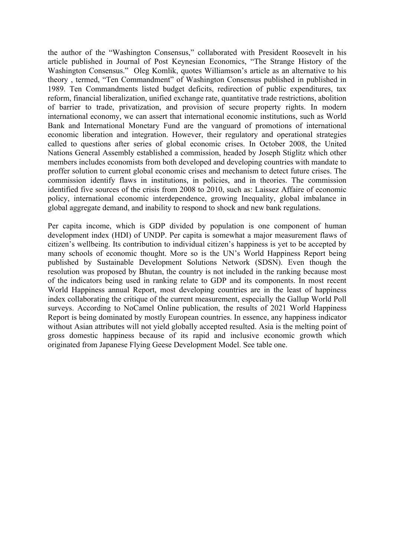the author of the "Washington Consensus," collaborated with President Roosevelt in his article published in Journal of Post Keynesian Economics, "The Strange History of the Washington Consensus." Oleg Komlik, quotes Williamson's article as an alternative to his theory , termed, "Ten Commandment" of Washington Consensus published in published in 1989. Ten Commandments listed budget deficits, redirection of public expenditures, tax reform, financial liberalization, unified exchange rate, quantitative trade restrictions, abolition of barrier to trade, privatization, and provision of secure property rights. In modern international economy, we can assert that international economic institutions, such as World Bank and International Monetary Fund are the vanguard of promotions of international economic liberation and integration. However, their regulatory and operational strategies called to questions after series of global economic crises. In October 2008, the United Nations General Assembly established a commission, headed by Joseph Stiglitz which other members includes economists from both developed and developing countries with mandate to proffer solution to current global economic crises and mechanism to detect future crises. The commission identify flaws in institutions, in policies, and in theories. The commission identified five sources of the crisis from 2008 to 2010, such as: Laissez Affaire of economic policy, international economic interdependence, growing Inequality, global imbalance in global aggregate demand, and inability to respond to shock and new bank regulations.

Per capita income, which is GDP divided by population is one component of human development index (HDI) of UNDP. Per capita is somewhat a major measurement flaws of citizen's wellbeing. Its contribution to individual citizen's happiness is yet to be accepted by many schools of economic thought. More so is the UN's World Happiness Report being published by Sustainable Development Solutions Network (SDSN). Even though the resolution was proposed by Bhutan, the country is not included in the ranking because most of the indicators being used in ranking relate to GDP and its components. In most recent World Happiness annual Report, most developing countries are in the least of happiness index collaborating the critique of the current measurement, especially the Gallup World Poll surveys. According to NoCamel Online publication, the results of 2021 World Happiness Report is being dominated by mostly European countries. In essence, any happiness indicator without Asian attributes will not yield globally accepted resulted. Asia is the melting point of gross domestic happiness because of its rapid and inclusive economic growth which originated from Japanese Flying Geese Development Model. See table one.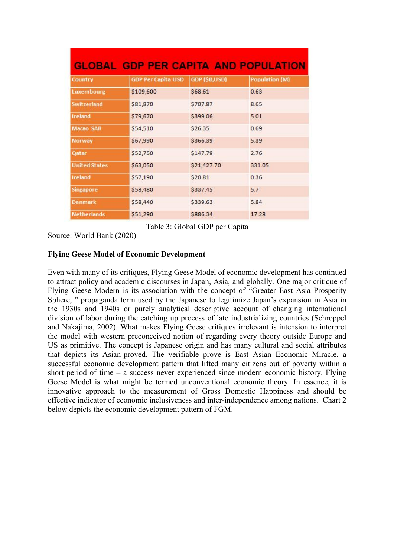| <b>GLOBAL GDP PER CAPITA AND POPULATION</b> |                           |               |                       |  |  |  |  |
|---------------------------------------------|---------------------------|---------------|-----------------------|--|--|--|--|
| Country                                     | <b>GDP Per Capita USD</b> | GDP (\$B,USD) | <b>Population (M)</b> |  |  |  |  |
| <b>Luxembourg</b>                           | \$109,600                 | \$68.61       | 0.63                  |  |  |  |  |
| <b>Switzerland</b>                          | \$81,870                  | \$707.87      | 8.65                  |  |  |  |  |
| Ireland                                     | \$79,670                  | \$399.06      | 5.01                  |  |  |  |  |
| Macao SAR                                   | \$54,510                  | \$26.35       | 0.69                  |  |  |  |  |
| Norway                                      | \$67,990                  | \$366.39      | 5.39                  |  |  |  |  |
| Qatar                                       | \$52,750                  | \$147.79      | 2.76                  |  |  |  |  |
| <b>United States</b>                        | \$63,050                  | \$21,427.70   | 331.05                |  |  |  |  |
| Iceland                                     | \$57,190                  | \$20.81       | 0.36                  |  |  |  |  |
| <b>Singapore</b>                            | \$58,480                  | \$337.45      | 5.7                   |  |  |  |  |
| <b>Denmark</b>                              | \$58,440                  | \$339.63      | 5.84                  |  |  |  |  |
| <b>Netherlands</b>                          | \$51,290                  | \$886.34      | 17.28                 |  |  |  |  |

Table 3: Global GDP per Capita

Source: World Bank (2020)

# **Flying Geese Model of Economic Development**

Even with many of its critiques, Flying Geese Model of economic development has continued to attract policy and academic discourses in Japan, Asia, and globally. One major critique of Flying Geese Modern is its association with the concept of "Greater East Asia Prosperity Sphere, " propaganda term used by the Japanese to legitimize Japan's expansion in Asia in the 1930s and 1940s or purely analytical descriptive account of changing international division of labor during the catching up process of late industrializing countries (Schroppel and Nakajima, 2002). What makes Flying Geese critiques irrelevant is intension to interpret the model with western preconceived notion of regarding every theory outside Europe and US as primitive. The concept is Japanese origin and has many cultural and social attributes that depicts its Asian-proved. The verifiable prove is East Asian Economic Miracle, a successful economic development pattern that lifted many citizens out of poverty within a short period of time – a success never experienced since modern economic history. Flying Geese Model is what might be termed unconventional economic theory. In essence, it is innovative approach to the measurement of Gross Domestic Happiness and should be effective indicator of economic inclusiveness and inter-independence among nations. Chart 2 below depicts the economic development pattern of FGM.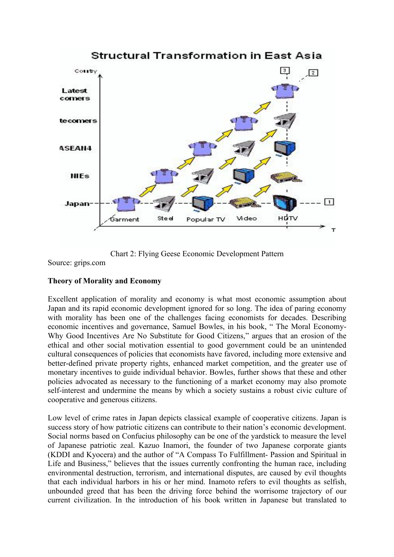

Chart 2: Flying Geese Economic Development Pattern

Source: grips.com

# **Theory of Morality and Economy**

Excellent application of morality and economy is what most economic assumption about Japan and its rapid economic development ignored for so long. The idea of paring economy with morality has been one of the challenges facing economists for decades. Describing economic incentives and governance, Samuel Bowles, in his book, " The Moral Economy-Why Good Incentives Are No Substitute for Good Citizens," argues that an erosion of the ethical and other social motivation essential to good government could be an unintended cultural consequences of policies that economists have favored, including more extensive and better-defined private property rights, enhanced market competition, and the greater use of monetary incentives to guide individual behavior. Bowles, further shows that these and other policies advocated as necessary to the functioning of a market economy may also promote self-interest and undermine the means by which a society sustains a robust civic culture of cooperative and generous citizens.

Low level of crime rates in Japan depicts classical example of cooperative citizens. Japan is success story of how patriotic citizens can contribute to their nation's economic development. Social norms based on Confucius philosophy can be one of the yardstick to measure the level of Japanese patriotic zeal. Kazuo Inamori, the founder of two Japanese corporate giants (KDDI and Kyocera) and the author of "A Compass To Fulfillment- Passion and Spiritual in Life and Business," believes that the issues currently confronting the human race, including environmental destruction, terrorism, and international disputes, are caused by evil thoughts that each individual harbors in his or her mind. Inamoto refers to evil thoughts as selfish, unbounded greed that has been the driving force behind the worrisome trajectory of our current civilization. In the introduction of his book written in Japanese but translated to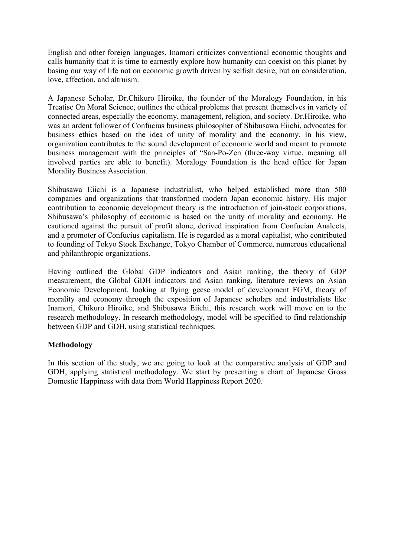English and other foreign languages, Inamori criticizes conventional economic thoughts and calls humanity that it is time to earnestly explore how humanity can coexist on this planet by basing our way of life not on economic growth driven by selfish desire, but on consideration, love, affection, and altruism.

A Japanese Scholar, Dr.Chikuro Hiroike, the founder of the Moralogy Foundation, in his Treatise On Moral Science, outlines the ethical problems that present themselves in variety of connected areas, especially the economy, management, religion, and society. Dr.Hiroike, who was an ardent follower of Confucius business philosopher of Shibusawa Eiichi, advocates for business ethics based on the idea of unity of morality and the economy. In his view, organization contributes to the sound development of economic world and meant to promote business management with the principles of "San-Po-Zen (three-way virtue, meaning all involved parties are able to benefit). Moralogy Foundation is the head office for Japan Morality Business Association.

Shibusawa Eiichi is a Japanese industrialist, who helped established more than 500 companies and organizations that transformed modern Japan economic history. His major contribution to economic development theory is the introduction of join-stock corporations. Shibusawa's philosophy of economic is based on the unity of morality and economy. He cautioned against the pursuit of profit alone, derived inspiration from Confucian Analects, and a promoter of Confucius capitalism. He is regarded as a moral capitalist, who contributed to founding of Tokyo Stock Exchange, Tokyo Chamber of Commerce, numerous educational and philanthropic organizations.

Having outlined the Global GDP indicators and Asian ranking, the theory of GDP measurement, the Global GDH indicators and Asian ranking, literature reviews on Asian Economic Development, looking at flying geese model of development FGM, theory of morality and economy through the exposition of Japanese scholars and industrialists like Inamori, Chikuro Hiroike, and Shibusawa Eiichi, this research work will move on to the research methodology. In research methodology, model will be specified to find relationship between GDP and GDH, using statistical techniques.

# **Methodology**

In this section of the study, we are going to look at the comparative analysis of GDP and GDH, applying statistical methodology. We start by presenting a chart of Japanese Gross Domestic Happiness with data from World Happiness Report 2020.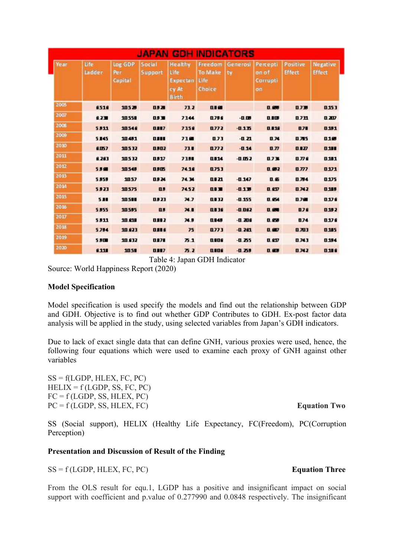| <b>JAPAN GDH INDICATORS</b> |                |                           |                          |                                                             |                                             |                |                                     |                           |                                  |
|-----------------------------|----------------|---------------------------|--------------------------|-------------------------------------------------------------|---------------------------------------------|----------------|-------------------------------------|---------------------------|----------------------------------|
| <b>Year</b>                 | life<br>Ladder | Log GDP<br>Per<br>Capital | <b>Social</b><br>Support | <b>Healthy</b><br>Life<br>Expectan<br>cy At<br><b>Birth</b> | Freedom<br><b>To Make</b><br>Life<br>Choice | Generosi<br>tv | Percepti<br>on of<br>Corrupti<br>on | Positive<br><b>Effect</b> | <b>Negative</b><br><b>Effect</b> |
| 2005                        | 8518           | 10528                     | 0.87                     | 73.2                                                        | 019                                         |                | 0.05                                | 0.739                     | 0.153                            |
| 2007                        | 6.230          | 10551                     | 0.53                     | 7144                                                        | 0.796                                       | $-0.08$        | 0.10                                | 0.731                     | 0.207                            |
| 2008                        | 5.811          | 10548                     | 0.887                    | 7358                                                        | 0772                                        | $-0.135$       | 0.119                               | 8.78                      | 0.191                            |
| 2009                        | 5.145          | 10.491                    | 0.88                     | 710                                                         | 0.73                                        | $-0.21$        | 0.74                                | 0.765                     | 010                              |
| 2010                        | 6.057          | 10532                     | 0,802                    | 73.1                                                        | 0772                                        | $-0.14$        | 0.77                                | 0.127                     | 0.111                            |
| 2011                        | 8.283          | 10532                     | 0.917                    | 7351                                                        | 0114                                        | $-0.052$       | 0.734                               | 0.776                     | 0.101                            |
| 2012                        | 5.5            | 10548                     | 0.815                    | 74.18                                                       | 0753                                        |                | 0.002                               | 0.777                     | 0.171                            |
| 2013                        | 5.859          | 1057                      | 0.824                    | 74.34                                                       | 0121                                        | $-0.147$       | 0.65                                | 0.784                     | 0.175                            |
| 2014                        | 5.323          | 10575                     | $\mathbf{u}$             | 74.52                                                       | 013                                         | $-0.139$       | 0.6D                                | 0.742                     | 0.189                            |
| 2015                        | 5.88           | 10511                     | 0,923                    | 74.7                                                        | 0.132                                       | $-0.155$       | 0.6%                                | 0.78                      | 0.179                            |
| 2016                        | 5,955          | 10595                     | $\mathbf{u}$             | 74.1                                                        | 0136                                        | $-0.062$       | 0.67                                | 076                       | 0.192                            |
| 2017                        | 5,811          | 10.818                    | 0112                     | 74.5                                                        | <b>Q145</b>                                 | $-0.206$       | 0.69                                | 0.74                      | 0.176                            |
| 2018                        | 5.784          | 10.023                    | 1116                     | 75                                                          | 0773                                        | $-0.201$       | 0.00                                | 0.703                     | 0.185                            |
| 2019                        | 5.800          | 10.632                    | 0.171                    | 75.1                                                        | anne                                        | $-0.255$       | 0.6D                                | 0.743                     | 0.134                            |
| 2020                        | 6.113          | 1051                      | 0.117                    | 75.2                                                        | 0.08                                        | $-0.259$       | 0.40                                | 0.742                     | 0.188                            |

Table 4: Japan GDH Indicator

Source: World Happiness Report (2020)

# **Model Specification**

Model specification is used specify the models and find out the relationship between GDP and GDH. Objective is to find out whether GDP Contributes to GDH. Ex-post factor data analysis will be applied in the study, using selected variables from Japan's GDH indicators.

Due to lack of exact single data that can define GNH, various proxies were used, hence, the following four equations which were used to examine each proxy of GNH against other variables

 $SS = f(LGDP, HLEX, FC, PC)$  $HELIX = f(LGDP, SS, FC, PC)$  $FC = f (LGDP, SS, HLEX, PC)$ PC = f (LGDP, SS, HLEX, FC) **Equation Two**

SS (Social support), HELIX (Healthy Life Expectancy, FC(Freedom), PC(Corruption Perception)

# **Presentation and Discussion of Result of the Finding**

SS = f (LGDP, HLEX, FC, PC) **Equation Three**

From the OLS result for equ.1, LGDP has a positive and insignificant impact on social support with coefficient and p.value of 0.277990 and 0.0848 respectively. The insignificant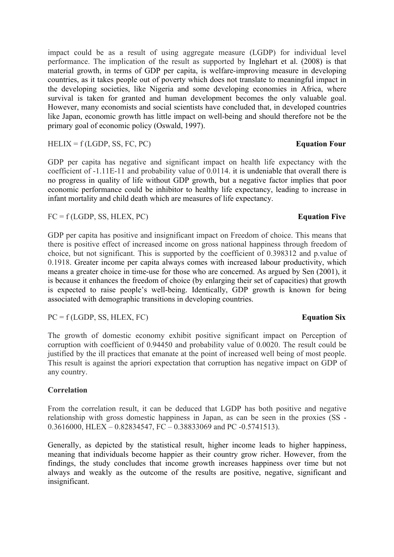impact could be as a result of using aggregate measure (LGDP) for individual level performance. The implication of the result as supported by Inglehart et al. (2008) is that material growth, in terms of GDP per capita, is welfare-improving measure in developing countries, as it takes people out of poverty which does not translate to meaningful impact in the developing societies, like Nigeria and some developing economies in Africa, where survival is taken for granted and human development becomes the only valuable goal. However, many economists and social scientists have concluded that, in developed countries like Japan, economic growth has little impact on well-being and should therefore not be the primary goal of economic policy (Oswald, 1997).

HELIX = f (LGDP, SS, FC, PC) **Equation Four**

GDP per capita has negative and significant impact on health life expectancy with the coefficient of -1.11E-11 and probability value of 0.0114. it is undeniable that overall there is no progress in quality of life without GDP growth, but a negative factor implies that poor economic performance could be inhibitor to healthy life expectancy, leading to increase in infant mortality and child death which are measures of life expectancy.

FC = f (LGDP, SS, HLEX, PC) **Equation Five**

GDP per capita has positive and insignificant impact on Freedom of choice. This means that there is positive effect of increased income on gross national happiness through freedom of choice, but not significant. This is supported by the coefficient of 0.398312 and p.value of 0.1918. Greater income per capita always comes with increased labour productivity, which means a greater choice in time-use for those who are concerned. As argued by Sen (2001), it is because it enhances the freedom of choice (by enlarging their set of capacities) that growth is expected to raise people's well-being. Identically, GDP growth is known for being associated with demographic transitions in developing countries.

PC = f (LGDP, SS, HLEX, FC) **Equation Six**

The growth of domestic economy exhibit positive significant impact on Perception of corruption with coefficient of 0.94450 and probability value of 0.0020. The result could be justified by the ill practices that emanate at the point of increased well being of most people. This result is against the apriori expectation that corruption has negative impact on GDP of any country.

# **Correlation**

From the correlation result, it can be deduced that LGDP has both positive and negative relationship with gross domestic happiness in Japan, as can be seen in the proxies (SS - 0.3616000, HLEX – 0.82834547, FC – 0.38833069 and PC -0.5741513).

Generally, as depicted by the statistical result, higher income leads to higher happiness, meaning that individuals become happier as their country grow richer. However, from the findings, the study concludes that income growth increases happiness over time but not always and weakly as the outcome of the results are positive, negative, significant and insignificant.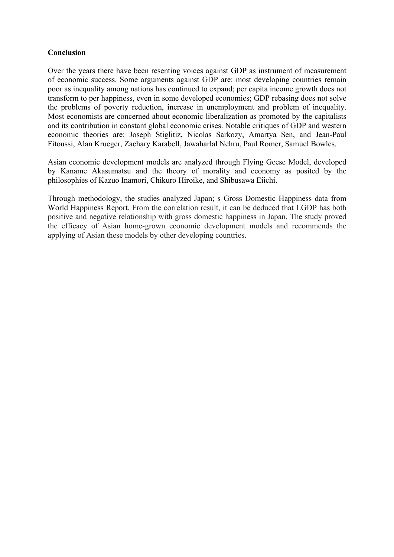# **Conclusion**

Over the years there have been resenting voices against GDP as instrument of measurement of economic success. Some arguments against GDP are: most developing countries remain poor as inequality among nations has continued to expand; per capita income growth does not transform to per happiness, even in some developed economies; GDP rebasing does not solve the problems of poverty reduction, increase in unemployment and problem of inequality. Most economists are concerned about economic liberalization as promoted by the capitalists and its contribution in constant global economic crises. Notable critiques of GDP and western economic theories are: Joseph Stiglitiz, Nicolas Sarkozy, Amartya Sen, and Jean-Paul Fitoussi, Alan Krueger, Zachary Karabell, Jawaharlal Nehru, Paul Romer, Samuel Bowles.

Asian economic development models are analyzed through Flying Geese Model, developed by Kaname Akasumatsu and the theory of morality and economy as posited by the philosophies of Kazuo Inamori, Chikuro Hiroike, and Shibusawa Eiichi.

Through methodology, the studies analyzed Japan; s Gross Domestic Happiness data from World Happiness Report. From the correlation result, it can be deduced that LGDP has both positive and negative relationship with gross domestic happiness in Japan. The study proved the efficacy of Asian home-grown economic development models and recommends the applying of Asian these models by other developing countries.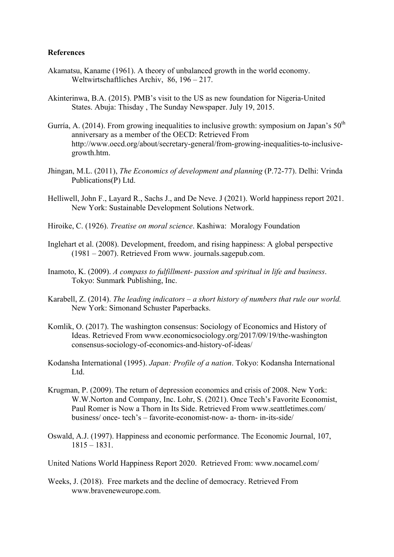# **References**

- Akamatsu, Kaname (1961). A theory of unbalanced growth in the world economy. Weltwirtschaftliches Archiv, 86, 196 – 217.
- Akinterinwa, B.A. (2015). PMB's visit to the US as new foundation for Nigeria-United States. Abuja: Thisday , The Sunday Newspaper. July 19, 2015.
- Gurría, A. (2014). From growing inequalities to inclusive growth: symposium on Japan's  $50<sup>th</sup>$ anniversary as a member of the OECD: Retrieved From http://www.oecd.org/about/secretary-general/from-growing-inequalities-to-inclusivegrowth.htm.
- Jhingan, M.L. (2011), *The Economics of development and planning* (P.72-77). Delhi: Vrinda Publications(P) Ltd.
- Helliwell, John F., Layard R., Sachs J., and De Neve. J (2021). World happiness report 2021. New York: Sustainable Development Solutions Network.
- Hiroike, C. (1926). *Treatise on moral science*. Kashiwa: Moralogy Foundation
- Inglehart et al. (2008). Development, freedom, and rising happiness: A global perspective (1981 – 2007). Retrieved From www. journals.sagepub.com.
- Inamoto, K. (2009). *A compass to fulfillment- passion and spiritual in life and business*. Tokyo: Sunmark Publishing, Inc.
- Karabell, Z. (2014). *The leading indicators – a short history of numbers that rule our world.* New York: Simonand Schuster Paperbacks.
- Komlik, O. (2017). The washington consensus: Sociology of Economics and History of Ideas. Retrieved From www.economicsociology.org/2017/09/19/the-washington consensus-sociology-of-economics-and-history-of-ideas/
- Kodansha International (1995). *Japan: Profile of a nation*. Tokyo: Kodansha International Ltd.
- Krugman, P. (2009). The return of depression economics and crisis of 2008. New York: W.W.Norton and Company, Inc. Lohr, S. (2021). Once Tech's Favorite Economist, Paul Romer is Now a Thorn in Its Side. Retrieved From www.seattletimes.com/ business/ once- tech's – favorite-economist-now- a- thorn- in-its-side/
- Oswald, A.J. (1997). Happiness and economic performance. The Economic Journal, 107, 1815 – 1831.
- United Nations World Happiness Report 2020. Retrieved From: www.nocamel.com/
- Weeks, J. (2018). Free markets and the decline of democracy. Retrieved From www.braveneweurope.com.